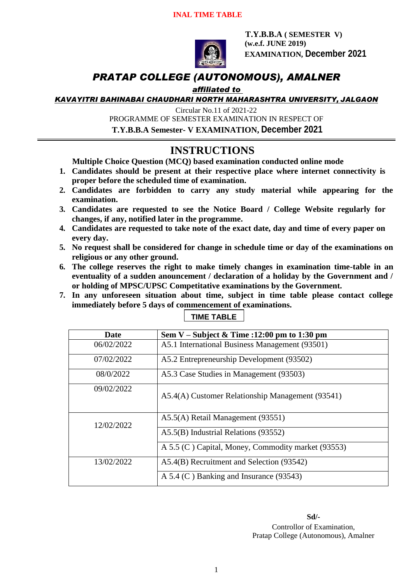

 **T.Y.B.B.A ( SEMESTER V) (w.e.f. JUNE 2019) EXAMINATION, December 2021**

## *PRATAP COLLEGE (AUTONOMOUS), AMALNER*

## *affiliated to*

*KAVAYITRI BAHINABAI CHAUDHARI NORTH MAHARASHTRA UNIVERSITY, JALGAON*

Circular No.11 of 2021-22

PROGRAMME OF SEMESTER EXAMINATION IN RESPECT OF

**T.Y.B.B.A Semester- V EXAMINATION, December 2021**

## **INSTRUCTIONS**

**Multiple Choice Question (MCQ) based examination conducted online mode**

- **1. Candidates should be present at their respective place where internet connectivity is proper before the scheduled time of examination.**
- **2. Candidates are forbidden to carry any study material while appearing for the examination.**
- **3. Candidates are requested to see the Notice Board / College Website regularly for changes, if any, notified later in the programme.**
- **4. Candidates are requested to take note of the exact date, day and time of every paper on every day.**
- **5. No request shall be considered for change in schedule time or day of the examinations on religious or any other ground.**
- **6. The college reserves the right to make timely changes in examination time-table in an eventuality of a sudden anouncement / declaration of a holiday by the Government and / or holding of MPSC/UPSC Competitative examinations by the Government.**
- **7. In any unforeseen situation about time, subject in time table please contact college immediately before 5 days of commencement of examinations.**

| Date       | Sem V – Subject & Time :12:00 pm to 1:30 pm        |
|------------|----------------------------------------------------|
| 06/02/2022 | A5.1 International Business Management (93501)     |
| 07/02/2022 | A5.2 Entrepreneurship Development (93502)          |
| 08/0/2022  | A5.3 Case Studies in Management (93503)            |
| 09/02/2022 | A5.4(A) Customer Relationship Management (93541)   |
| 12/02/2022 | A5.5(A) Retail Management (93551)                  |
|            | A5.5(B) Industrial Relations (93552)               |
|            | A 5.5 (C) Capital, Money, Commodity market (93553) |
| 13/02/2022 | A5.4(B) Recruitment and Selection (93542)          |
|            | A 5.4 (C) Banking and Insurance (93543)            |